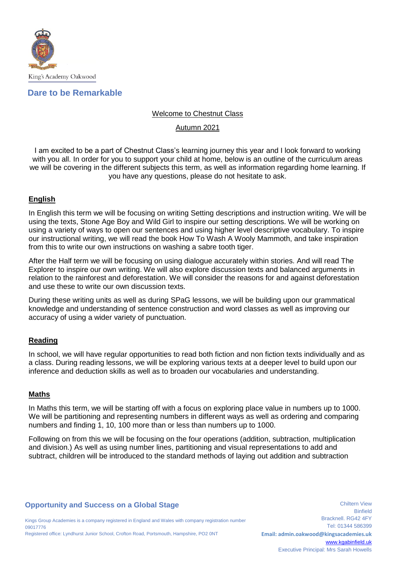

# **Dare to be Remarkable**

## Welcome to Chestnut Class

## Autumn 2021

I am excited to be a part of Chestnut Class's learning journey this year and I look forward to working with you all. In order for you to support your child at home, below is an outline of the curriculum areas we will be covering in the different subjects this term, as well as information regarding home learning. If you have any questions, please do not hesitate to ask.

## **English**

In English this term we will be focusing on writing Setting descriptions and instruction writing. We will be using the texts, Stone Age Boy and Wild Girl to inspire our setting descriptions. We will be working on using a variety of ways to open our sentences and using higher level descriptive vocabulary. To inspire our instructional writing, we will read the book How To Wash A Wooly Mammoth, and take inspiration from this to write our own instructions on washing a sabre tooth tiger.

After the Half term we will be focusing on using dialogue accurately within stories. And will read The Explorer to inspire our own writing. We will also explore discussion texts and balanced arguments in relation to the rainforest and deforestation. We will consider the reasons for and against deforestation and use these to write our own discussion texts.

During these writing units as well as during SPaG lessons, we will be building upon our grammatical knowledge and understanding of sentence construction and word classes as well as improving our accuracy of using a wider variety of punctuation.

## **Reading**

In school, we will have regular opportunities to read both fiction and non fiction texts individually and as a class. During reading lessons, we will be exploring various texts at a deeper level to build upon our inference and deduction skills as well as to broaden our vocabularies and understanding.

## **Maths**

In Maths this term, we will be starting off with a focus on exploring place value in numbers up to 1000. We will be partitioning and representing numbers in different ways as well as ordering and comparing numbers and finding 1, 10, 100 more than or less than numbers up to 1000.

Following on from this we will be focusing on the four operations (addition, subtraction, multiplication and division.) As well as using number lines, partitioning and visual representations to add and subtract, children will be introduced to the standard methods of laying out addition and subtraction

## **Opportunity and Success on a Global Stage**

Kings Group Academies is a company registered in England and Wales with company registration number 09017776 Registered office: Lyndhurst Junior School, Crofton Road, Portsmouth, Hampshire, PO2 0NT

Chiltern View Binfield Bracknell. RG42 4FY Tel: 01344 586399 **Email: admin.oakwood@kingsacademies.uk** [www.kgabinfield.uk](http://www.kgabinfield.uk/) Executive Principal: Mrs Sarah Howells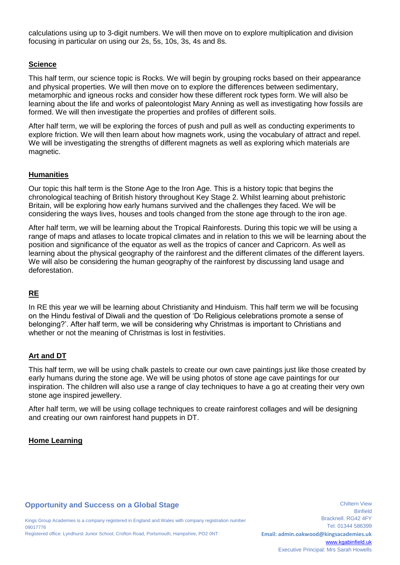calculations using up to 3-digit numbers. We will then move on to explore multiplication and division focusing in particular on using our 2s, 5s, 10s, 3s, 4s and 8s.

## **Science**

This half term, our science topic is Rocks. We will begin by grouping rocks based on their appearance and physical properties. We will then move on to explore the differences between sedimentary, metamorphic and igneous rocks and consider how these different rock types form. We will also be learning about the life and works of paleontologist Mary Anning as well as investigating how fossils are formed. We will then investigate the properties and profiles of different soils.

After half term, we will be exploring the forces of push and pull as well as conducting experiments to explore friction. We will then learn about how magnets work, using the vocabulary of attract and repel. We will be investigating the strengths of different magnets as well as exploring which materials are magnetic.

## **Humanities**

Our topic this half term is the Stone Age to the Iron Age. This is a history topic that begins the chronological teaching of British history throughout Key Stage 2. Whilst learning about prehistoric Britain, will be exploring how early humans survived and the challenges they faced. We will be considering the ways lives, houses and tools changed from the stone age through to the iron age.

After half term, we will be learning about the Tropical Rainforests. During this topic we will be using a range of maps and atlases to locate tropical climates and in relation to this we will be learning about the position and significance of the equator as well as the tropics of cancer and Capricorn. As well as learning about the physical geography of the rainforest and the different climates of the different layers. We will also be considering the human geography of the rainforest by discussing land usage and deforestation.

# **RE**

In RE this year we will be learning about Christianity and Hinduism. This half term we will be focusing on the Hindu festival of Diwali and the question of 'Do Religious celebrations promote a sense of belonging?'. After half term, we will be considering why Christmas is important to Christians and whether or not the meaning of Christmas is lost in festivities.

# **Art and DT**

This half term, we will be using chalk pastels to create our own cave paintings just like those created by early humans during the stone age. We will be using photos of stone age cave paintings for our inspiration. The children will also use a range of clay techniques to have a go at creating their very own stone age inspired jewellery.

After half term, we will be using collage techniques to create rainforest collages and will be designing and creating our own rainforest hand puppets in DT.

## **Home Learning**

## **Opportunity and Success on a Global Stage**

Kings Group Academies is a company registered in England and Wales with company registration number 09017776 Registered office: Lyndhurst Junior School, Crofton Road, Portsmouth, Hampshire, PO2 0NT

Chiltern View **Binfield** Bracknell. RG42 4FY Tel: 01344 586399 **Email: admin.oakwood@kingsacademies.uk** [www.kgabinfield.uk](http://www.kgabinfield.uk/) Executive Principal: Mrs Sarah Howells